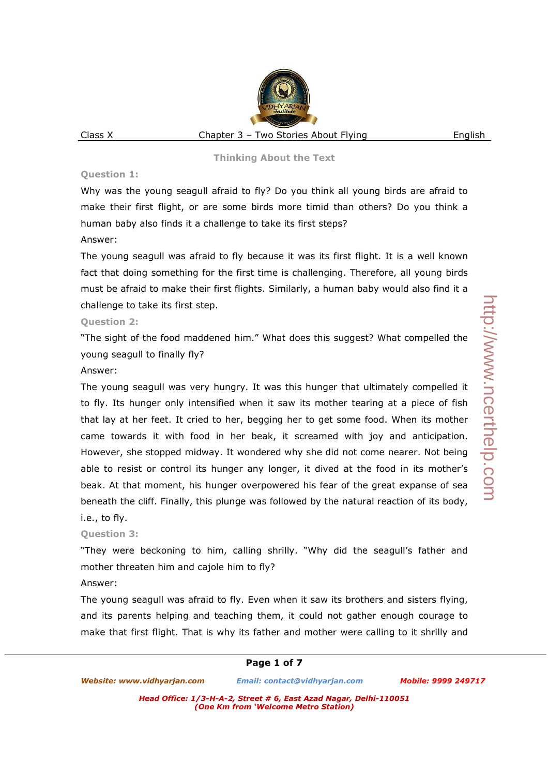#### **Question 1:**

Why was the young seagull afraid to fly? Do you think all young birds are afraid to make their first flight, or are some birds more timid than others? Do you think a human baby also finds it a challenge to take its first steps?

#### Answer:

The young seagull was afraid to fly because it was its first flight. It is a well known fact that doing something for the first time is challenging. Therefore, all young birds must be afraid to make their first flights. Similarly, a human baby would also find it a challenge to take its first step.

# **Question 2:**

"The sight of the food maddened him." What does this suggest? What compelled the young seagull to finally fly?

#### Answer:

The young seagull was very hungry. It was this hunger that ultimately compelled it to fly. Its hunger only intensified when it saw its mother tearing at a piece of fish that lay at her feet. It cried to her, begging her to get some food. When its mother came towards it with food in her beak, it screamed with joy and anticipation. However, she stopped midway. It wondered why she did not come nearer. Not being able to resist or control its hunger any longer, it dived at the food in its mother's beak. At that moment, his hunger overpowered his fear of the great expanse of sea beneath the cliff. Finally, this plunge was followed by the natural reaction of its body, i.e., to fly.

# **Question 3:**

"They were beckoning to him, calling shrilly. "Why did the seagull's father and mother threaten him and cajole him to fly?

# Answer:

The young seagull was afraid to fly. Even when it saw its brothers and sisters flying, and its parents helping and teaching them, it could not gather enough courage to make that first flight. That is why its father and mother were calling to it shrilly and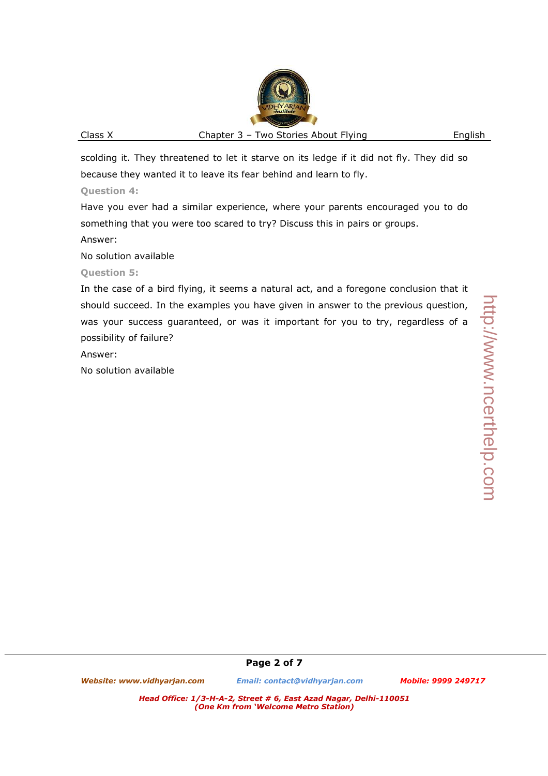scolding it. They threatened to let it starve on its ledge if it did not fly. They did so because they wanted it to leave its fear behind and learn to fly.

#### **Question 4:**

Have you ever had a similar experience, where your parents encouraged you to do something that you were too scared to try? Discuss this in pairs or groups.

#### Answer:

No solution available

# **Question 5:**

In the case of a bird flying, it seems a natural act, and a foregone conclusion that it should succeed. In the examples you have given in answer to the previous question, was your success guaranteed, or was it important for you to try, regardless of a possibility of failure?

Answer:

No solution available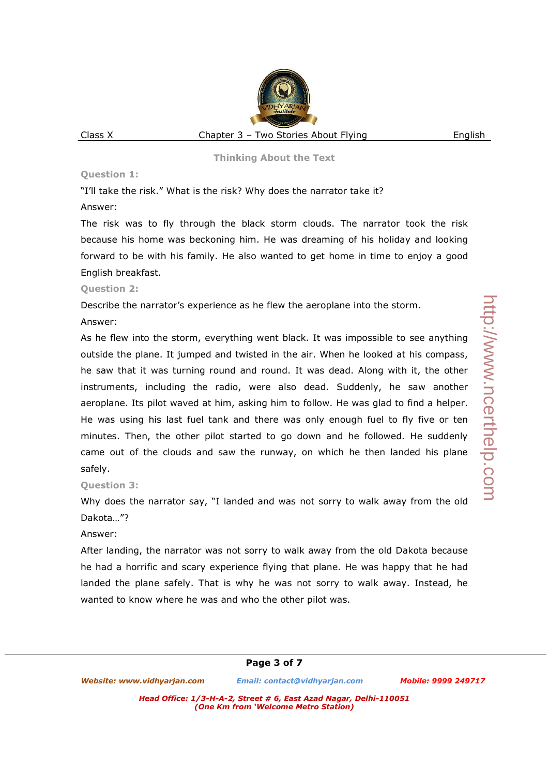#### **Question 1:**

"I'll take the risk." What is the risk? Why does the narrator take it?

#### Answer:

The risk was to fly through the black storm clouds. The narrator took the risk because his home was beckoning him. He was dreaming of his holiday and looking forward to be with his family. He also wanted to get home in time to enjoy a good English breakfast.

#### **Question 2:**

Describe the narrator's experience as he flew the aeroplane into the storm.

#### Answer:

As he flew into the storm, everything went black. It was impossible to see anything outside the plane. It jumped and twisted in the air. When he looked at his compass, he saw that it was turning round and round. It was dead. Along with it, the other instruments, including the radio, were also dead. Suddenly, he saw another aeroplane. Its pilot waved at him, asking him to follow. He was glad to find a helper. He was using his last fuel tank and there was only enough fuel to fly five or ten minutes. Then, the other pilot started to go down and he followed. He suddenly came out of the clouds and saw the runway, on which he then landed his plane safely.

# **Question 3:**

Why does the narrator say, "I landed and was not sorry to walk away from the old Dakota…"?

#### Answer:

After landing, the narrator was not sorry to walk away from the old Dakota because he had a horrific and scary experience flying that plane. He was happy that he had landed the plane safely. That is why he was not sorry to walk away. Instead, he wanted to know where he was and who the other pilot was.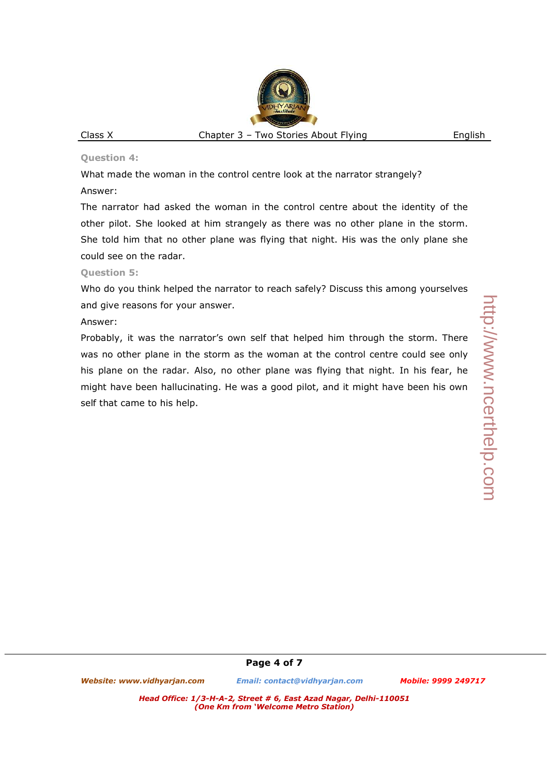#### **Question 4:**

What made the woman in the control centre look at the narrator strangely? Answer:

The narrator had asked the woman in the control centre about the identity of the other pilot. She looked at him strangely as there was no other plane in the storm. She told him that no other plane was flying that night. His was the only plane she could see on the radar.

#### **Question 5:**

Who do you think helped the narrator to reach safely? Discuss this among yourselves and give reasons for your answer.

#### Answer:

Probably, it was the narrator's own self that helped him through the storm. There was no other plane in the storm as the woman at the control centre could see only his plane on the radar. Also, no other plane was flying that night. In his fear, he might have been hallucinating. He was a good pilot, and it might have been his own self that came to his help.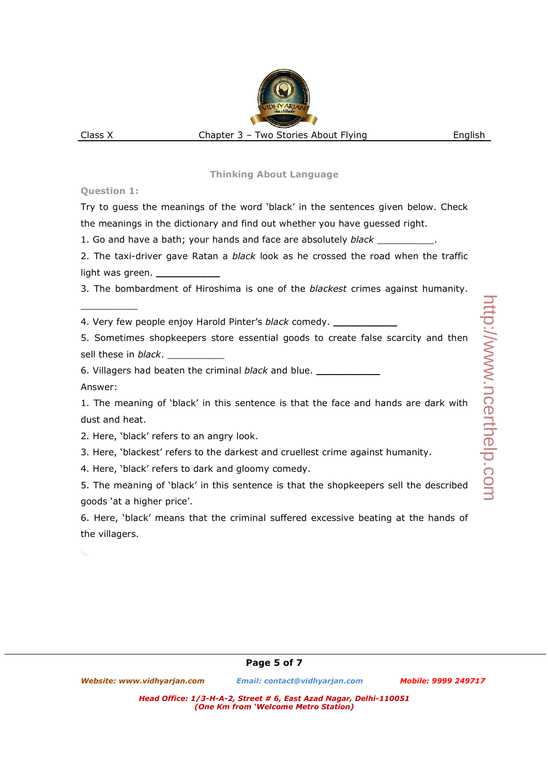# **Question 1:**

 $\overline{\phantom{a}}$  , we can also the contract of  $\overline{\phantom{a}}$ 

Try to guess the meanings of the word 'black' in the sentences given below. Check the meanings in the dictionary and find out whether you have guessed right.

1. Go and have a bath; your hands and face are absolutely *black* \_\_\_\_\_\_\_\_\_\_.

2. The taxi-driver gave Ratan a *black* look as he crossed the road when the traffic light was green. **\_\_\_\_\_\_\_\_\_\_**

3. The bombardment of Hiroshima is one of the *blackest* crimes against humanity.

4. Very few people enjoy Harold Pinter's *black* comedy. **\_\_\_\_\_\_\_\_\_\_**

5. Sometimes shopkeepers store essential goods to create false scarcity and then sell these in *black*.

6. Villagers had beaten the criminal *black* and blue. **\_\_\_\_\_\_\_\_\_\_**

Answer:

1. The meaning of 'black' in this sentence is that the face and hands are dark with dust and heat.

- 2. Here, 'black' refers to an angry look.
- 3. Here, 'blackest' refers to the darkest and cruellest crime against humanity.

4. Here, 'black' refers to dark and gloomy comedy.

5. The meaning of 'black' in this sentence is that the shopkeepers sell the described goods 'at a higher price'.

6. Here, 'black' means that the criminal suffered excessive beating at the hands of the villagers.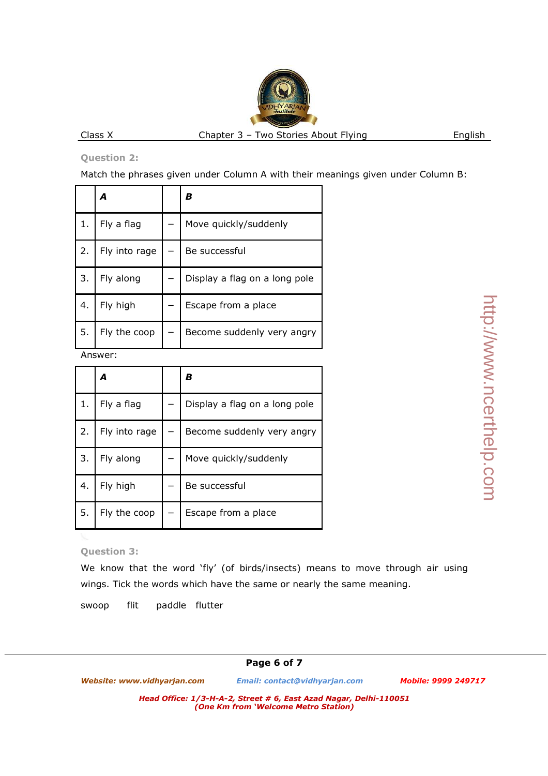# **Question 2:**

Match the phrases given under Column A with their meanings given under Column B:

|    | А             | в                             |  |
|----|---------------|-------------------------------|--|
| 1. | Fly a flag    | Move quickly/suddenly         |  |
| 2. | Fly into rage | Be successful                 |  |
| 3. | Fly along     | Display a flag on a long pole |  |
| 4. | Fly high      | Escape from a place           |  |
| 5. | Fly the coop  | Become suddenly very angry    |  |

Answer:

|    | А             | в                             |  |
|----|---------------|-------------------------------|--|
| 1. | Fly a flag    | Display a flag on a long pole |  |
| 2. | Fly into rage | Become suddenly very angry    |  |
| 3. | Fly along     | Move quickly/suddenly         |  |
| 4. | Fly high      | Be successful                 |  |
| 5. | Fly the coop  | Escape from a place           |  |

# http://www.ncerthelp.com http://www.ncerthelp.com

# **Question 3:**

We know that the word 'fly' (of birds/insects) means to move through air using wings. Tick the words which have the same or nearly the same meaning.

swoop flit paddle flutter